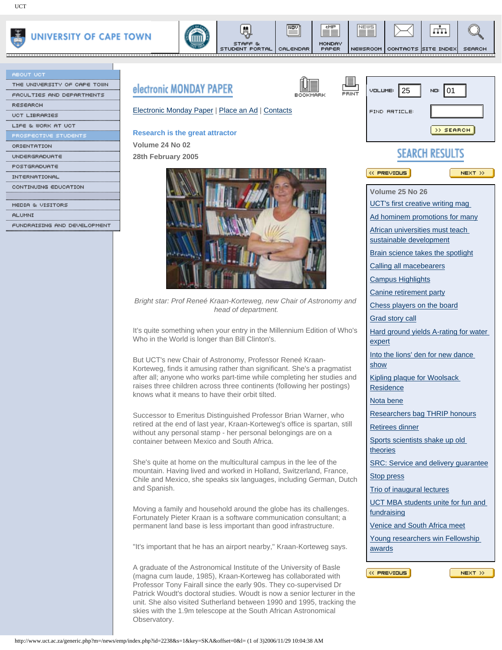

| <b>ABOUT UCT</b>            |           |
|-----------------------------|-----------|
| THE UNIVERSITY OF CAPE TOWN | electro   |
| FACULTIES AND DEPARTMENTS   |           |
| <b>RESEARCH</b>             |           |
| <b>UCT LIBRARIES</b>        | Electro   |
| LIFE & WORK AT UCT          |           |
| PROSPECTIVE STUDENTS        | Resear    |
| ORIENTATION                 | Volum     |
| UNDERGRADUATE               | 28th $Fe$ |
| POSTGRADUATE                |           |
| INTERNATIONAL               |           |
| CONTINUING EDUCATION        |           |
|                             |           |
| MEDIA & UISITORS            |           |



NOV

CALENDAR

eMP

MONDAY<br>PAPER

. . . . . . . . . . .

NEWS

≡≡

<u>............</u>



NEWSROOM CONTACTS SITE INDEX

<u>.............</u>

л'n.

SEARCH

| ACULTIES AND DEPARTMENTS   | <b><i>electronic MUNDAT PAPEK</i></b>                                                                                                                                                                                                                                                                                                                                                                                                            | PRINT<br>BOOKMARK                                                                                                                             | <b>VOLUME:</b> 25                               | NO: 01    |
|----------------------------|--------------------------------------------------------------------------------------------------------------------------------------------------------------------------------------------------------------------------------------------------------------------------------------------------------------------------------------------------------------------------------------------------------------------------------------------------|-----------------------------------------------------------------------------------------------------------------------------------------------|-------------------------------------------------|-----------|
| ∖ESEARCH                   |                                                                                                                                                                                                                                                                                                                                                                                                                                                  |                                                                                                                                               |                                                 |           |
| <b>ICT LIBRARIES</b>       | Electronic Monday Paper   Place an Ad   Contacts                                                                                                                                                                                                                                                                                                                                                                                                 |                                                                                                                                               | <b>FIND RRTICLE:</b>                            |           |
|                            |                                                                                                                                                                                                                                                                                                                                                                                                                                                  |                                                                                                                                               |                                                 |           |
|                            | <b>Research is the great attractor</b>                                                                                                                                                                                                                                                                                                                                                                                                           |                                                                                                                                               |                                                 | >> SEARCH |
|                            | Volume 24 No 02                                                                                                                                                                                                                                                                                                                                                                                                                                  |                                                                                                                                               |                                                 |           |
|                            | 28th February 2005                                                                                                                                                                                                                                                                                                                                                                                                                               |                                                                                                                                               | <b>SEARCH RESULTS</b>                           |           |
|                            |                                                                                                                                                                                                                                                                                                                                                                                                                                                  |                                                                                                                                               |                                                 |           |
|                            |                                                                                                                                                                                                                                                                                                                                                                                                                                                  |                                                                                                                                               | $\ll$ PREVIOUS                                  | NEXT >>   |
|                            |                                                                                                                                                                                                                                                                                                                                                                                                                                                  |                                                                                                                                               | Volume 25 No 26                                 |           |
|                            |                                                                                                                                                                                                                                                                                                                                                                                                                                                  |                                                                                                                                               | UCT's first creative writing mag                |           |
| ILUMNI                     |                                                                                                                                                                                                                                                                                                                                                                                                                                                  |                                                                                                                                               |                                                 |           |
| UNDRAISING AND DEVELOPMENT |                                                                                                                                                                                                                                                                                                                                                                                                                                                  |                                                                                                                                               | Ad hominem promotions for many                  |           |
|                            |                                                                                                                                                                                                                                                                                                                                                                                                                                                  | African universities must teach<br>sustainable development                                                                                    |                                                 |           |
|                            |                                                                                                                                                                                                                                                                                                                                                                                                                                                  |                                                                                                                                               | Brain science takes the spotlight               |           |
|                            |                                                                                                                                                                                                                                                                                                                                                                                                                                                  |                                                                                                                                               | Calling all macebearers                         |           |
|                            |                                                                                                                                                                                                                                                                                                                                                                                                                                                  |                                                                                                                                               | <b>Campus Highlights</b>                        |           |
|                            |                                                                                                                                                                                                                                                                                                                                                                                                                                                  |                                                                                                                                               | Canine retirement party                         |           |
|                            | Bright star: Prof Reneé Kraan-Korteweg, new Chair of Astronomy and                                                                                                                                                                                                                                                                                                                                                                               |                                                                                                                                               | Chess players on the board                      |           |
|                            | head of department.                                                                                                                                                                                                                                                                                                                                                                                                                              |                                                                                                                                               | Grad story call                                 |           |
|                            |                                                                                                                                                                                                                                                                                                                                                                                                                                                  |                                                                                                                                               |                                                 |           |
|                            | It's quite something when your entry in the Millennium Edition of Who's<br>Who in the World is longer than Bill Clinton's.                                                                                                                                                                                                                                                                                                                       |                                                                                                                                               | Hard ground yields A-rating for water<br>expert |           |
|                            | But UCT's new Chair of Astronomy, Professor Reneé Kraan-<br>Korteweg, finds it amusing rather than significant. She's a pragmatist<br>after all; anyone who works part-time while completing her studies and<br>raises three children across three continents (following her postings)<br>knows what it means to have their orbit tilted.                                                                                                        |                                                                                                                                               | Into the lions' den for new dance               |           |
|                            |                                                                                                                                                                                                                                                                                                                                                                                                                                                  |                                                                                                                                               | show                                            |           |
|                            |                                                                                                                                                                                                                                                                                                                                                                                                                                                  |                                                                                                                                               | Kipling plaque for Woolsack<br>Residence        |           |
|                            |                                                                                                                                                                                                                                                                                                                                                                                                                                                  |                                                                                                                                               | Nota bene                                       |           |
|                            |                                                                                                                                                                                                                                                                                                                                                                                                                                                  | Researchers bag THRIP honours                                                                                                                 |                                                 |           |
|                            |                                                                                                                                                                                                                                                                                                                                                                                                                                                  | Successor to Emeritus Distinguished Professor Brian Warner, who<br>retired at the end of last year, Kraan-Korteweg's office is spartan, still |                                                 |           |
|                            | without any personal stamp - her personal belongings are on a<br>container between Mexico and South Africa.                                                                                                                                                                                                                                                                                                                                      | Retirees dinner                                                                                                                               |                                                 |           |
|                            |                                                                                                                                                                                                                                                                                                                                                                                                                                                  |                                                                                                                                               | Sports scientists shake up old<br>theories      |           |
|                            | She's quite at home on the multicultural campus in the lee of the<br>mountain. Having lived and worked in Holland, Switzerland, France,<br>Chile and Mexico, she speaks six languages, including German, Dutch                                                                                                                                                                                                                                   | SRC: Service and delivery guarantee                                                                                                           |                                                 |           |
|                            |                                                                                                                                                                                                                                                                                                                                                                                                                                                  | <b>Stop press</b>                                                                                                                             |                                                 |           |
|                            | and Spanish.                                                                                                                                                                                                                                                                                                                                                                                                                                     |                                                                                                                                               | Trio of inaugural lectures                      |           |
|                            |                                                                                                                                                                                                                                                                                                                                                                                                                                                  |                                                                                                                                               | UCT MBA students unite for fun and              |           |
|                            |                                                                                                                                                                                                                                                                                                                                                                                                                                                  | Moving a family and household around the globe has its challenges.                                                                            | fundraising                                     |           |
|                            | Fortunately Pieter Kraan is a software communication consultant; a<br>permanent land base is less important than good infrastructure.                                                                                                                                                                                                                                                                                                            |                                                                                                                                               |                                                 |           |
|                            |                                                                                                                                                                                                                                                                                                                                                                                                                                                  |                                                                                                                                               | Venice and South Africa meet                    |           |
|                            | "It's important that he has an airport nearby," Kraan-Korteweg says.                                                                                                                                                                                                                                                                                                                                                                             |                                                                                                                                               | Young researchers win Fellowship<br>awards      |           |
|                            | A graduate of the Astronomical Institute of the University of Basle<br>(magna cum laude, 1985), Kraan-Korteweg has collaborated with<br>Professor Tony Fairall since the early 90s. They co-supervised Dr<br>Patrick Woudt's doctoral studies. Woudt is now a senior lecturer in the<br>unit. She also visited Sutherland between 1990 and 1995, tracking the<br>skies with the 1.9m telescope at the South African Astronomical<br>Observatory. |                                                                                                                                               | « PREVIOUS                                      | NEXT >>   |
|                            | http://www.uct.ac.za/generic.php?m=/news/emp/index.php?id=2238&s=1&key=SKA&offset=0&l= (1 of 3)2006/11/29 10:04:38 AM                                                                                                                                                                                                                                                                                                                            |                                                                                                                                               |                                                 |           |
|                            |                                                                                                                                                                                                                                                                                                                                                                                                                                                  |                                                                                                                                               |                                                 |           |



STUDENT PORTAL

*Bright star: Prof Reneé Kraan-Korteweg, new Chair of Astronomy and head of department.*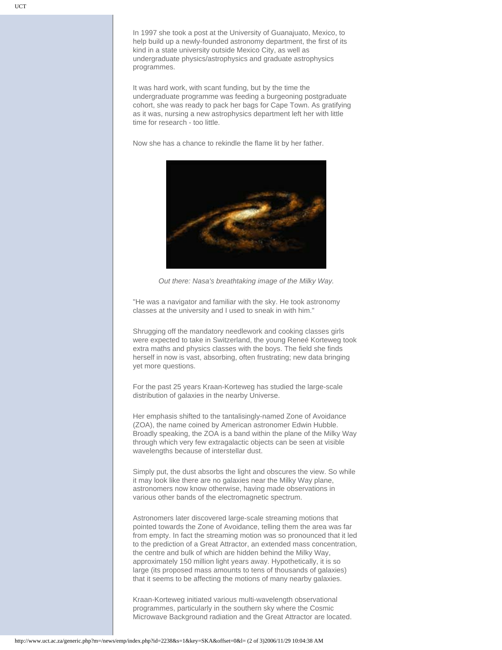In 1997 she took a post at the University of Guanajuato, Mexico, to help build up a newly-founded astronomy department, the first of its kind in a state university outside Mexico City, as well as undergraduate physics/astrophysics and graduate astrophysics programmes.

It was hard work, with scant funding, but by the time the undergraduate programme was feeding a burgeoning postgraduate cohort, she was ready to pack her bags for Cape Town. As gratifying as it was, nursing a new astrophysics department left her with little time for research - too little.

Now she has a chance to rekindle the flame lit by her father.



*Out there: Nasa's breathtaking image of the Milky Way.* 

"He was a navigator and familiar with the sky. He took astronomy classes at the university and I used to sneak in with him."

Shrugging off the mandatory needlework and cooking classes girls were expected to take in Switzerland, the young Reneé Korteweg took extra maths and physics classes with the boys. The field she finds herself in now is vast, absorbing, often frustrating; new data bringing yet more questions.

For the past 25 years Kraan-Korteweg has studied the large-scale distribution of galaxies in the nearby Universe.

Her emphasis shifted to the tantalisingly-named Zone of Avoidance (ZOA), the name coined by American astronomer Edwin Hubble. Broadly speaking, the ZOA is a band within the plane of the Milky Way through which very few extragalactic objects can be seen at visible wavelengths because of interstellar dust.

Simply put, the dust absorbs the light and obscures the view. So while it may look like there are no galaxies near the Milky Way plane, astronomers now know otherwise, having made observations in various other bands of the electromagnetic spectrum.

Astronomers later discovered large-scale streaming motions that pointed towards the Zone of Avoidance, telling them the area was far from empty. In fact the streaming motion was so pronounced that it led to the prediction of a Great Attractor, an extended mass concentration, the centre and bulk of which are hidden behind the Milky Way, approximately 150 million light years away. Hypothetically, it is so large (its proposed mass amounts to tens of thousands of galaxies) that it seems to be affecting the motions of many nearby galaxies.

Kraan-Korteweg initiated various multi-wavelength observational programmes, particularly in the southern sky where the Cosmic Microwave Background radiation and the Great Attractor are located.